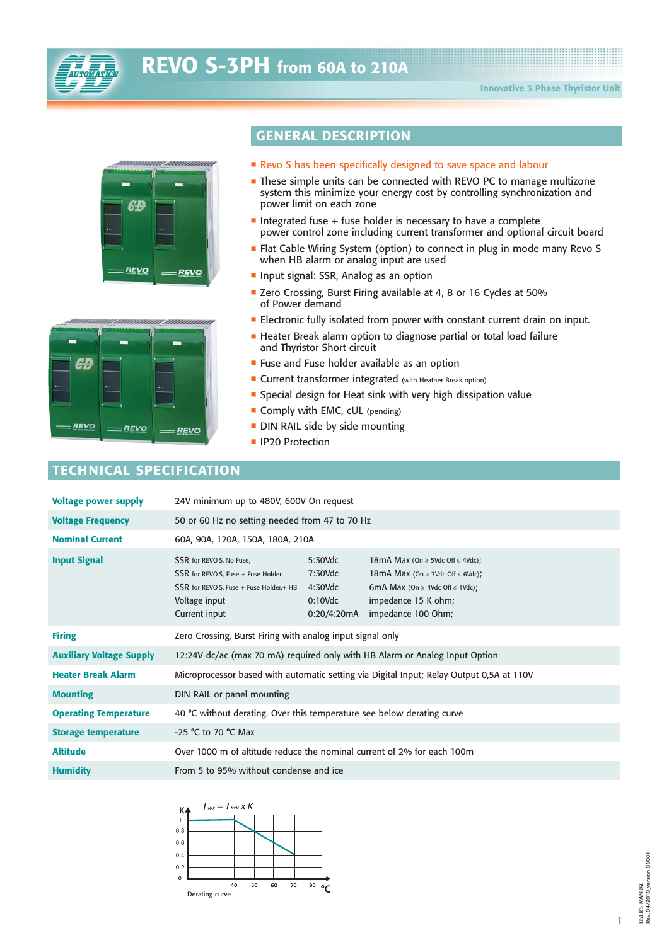



| -    |      |      |  |
|------|------|------|--|
| ĢД.  |      |      |  |
|      |      |      |  |
| REVO | REVO | REVO |  |

## **GENERAL DESCRIPTION**

- $\blacksquare$  Revo S has been specifically designed to save space and labour
- These simple units can be connected with REVO PC to manage multizone system this minimize your energy cost by controlling synchronization and power limit on each zone
- $\blacksquare$  Integrated fuse + fuse holder is necessary to have a complete power control zone including current transformer and optional circuit board
- Flat Cable Wiring System (option) to connect in plug in mode many Revo S when HB alarm or analog input are used
- **Input signal: SSR, Analog as an option**
- Zero Crossing, Burst Firing available at 4, 8 or 16 Cycles at 50% of Power demand
- **Electronic fully isolated from power with constant current drain on input.**
- **E** Heater Break alarm option to diagnose partial or total load failure and Thyristor Short circuit
- **Example 1** Fuse holder available as an option
- **Example 2 Current transformer integrated** (with Heather Break option)
- Special design for Heat sink with very high dissipation value
- **Comply with EMC, cUL** (pending)
- **-** DIN RAIL side by side mounting
- IP20 Protection

## **TECHNICAL SPECIFICATION**

| <b>Voltage power supply</b>     | 24V minimum up to 480V, 600V On request                                                                                                        |                                                                                          |                                                                                                                                                                                    |  |  |  |  |  |  |  |
|---------------------------------|------------------------------------------------------------------------------------------------------------------------------------------------|------------------------------------------------------------------------------------------|------------------------------------------------------------------------------------------------------------------------------------------------------------------------------------|--|--|--|--|--|--|--|
| <b>Voltage Frequency</b>        | 50 or 60 Hz no setting needed from 47 to 70 Hz                                                                                                 |                                                                                          |                                                                                                                                                                                    |  |  |  |  |  |  |  |
| <b>Nominal Current</b>          | 60A, 90A, 120A, 150A, 180A, 210A                                                                                                               |                                                                                          |                                                                                                                                                                                    |  |  |  |  |  |  |  |
| <b>Input Signal</b>             | SSR for REVO S, No Fuse,<br>SSR for REVO S, Fuse + Fuse Holder<br>$SSR$ for REVO S, Fuse + Fuse Holder, + HB<br>Voltage input<br>Current input | 5:30Vdc<br>7:30Vdc<br>$4:30$ Vdc<br>$0:10$ Vdc<br>0:20/4:20mA                            | 18mA Max (On $\geq$ 5Vdc Off $\leq$ 4Vdc);<br>18mA Max (On $\geq$ 7Vdc Off $\leq$ 6Vdc);<br>6mA Max (On $\geq$ 4Vdc Off $\leq$ 1Vdc);<br>impedance 15 K ohm;<br>impedance 100 Ohm; |  |  |  |  |  |  |  |
| <b>Firing</b>                   | Zero Crossing, Burst Firing with analog input signal only                                                                                      |                                                                                          |                                                                                                                                                                                    |  |  |  |  |  |  |  |
| <b>Auxiliary Voltage Supply</b> |                                                                                                                                                | 12:24V dc/ac (max 70 mA) required only with HB Alarm or Analog Input Option              |                                                                                                                                                                                    |  |  |  |  |  |  |  |
| <b>Heater Break Alarm</b>       |                                                                                                                                                | Microprocessor based with automatic setting via Digital Input; Relay Output 0,5A at 110V |                                                                                                                                                                                    |  |  |  |  |  |  |  |
| <b>Mounting</b>                 | DIN RAIL or panel mounting                                                                                                                     |                                                                                          |                                                                                                                                                                                    |  |  |  |  |  |  |  |
| <b>Operating Temperature</b>    | 40 °C without derating. Over this temperature see below derating curve                                                                         |                                                                                          |                                                                                                                                                                                    |  |  |  |  |  |  |  |
| <b>Storage temperature</b>      | -25 °C to 70 °C Max                                                                                                                            |                                                                                          |                                                                                                                                                                                    |  |  |  |  |  |  |  |
| <b>Altitude</b>                 | Over 1000 m of altitude reduce the nominal current of 2% for each 100m                                                                         |                                                                                          |                                                                                                                                                                                    |  |  |  |  |  |  |  |
| <b>Humidity</b>                 | From 5 to 95% without condense and ice                                                                                                         |                                                                                          |                                                                                                                                                                                    |  |  |  |  |  |  |  |



1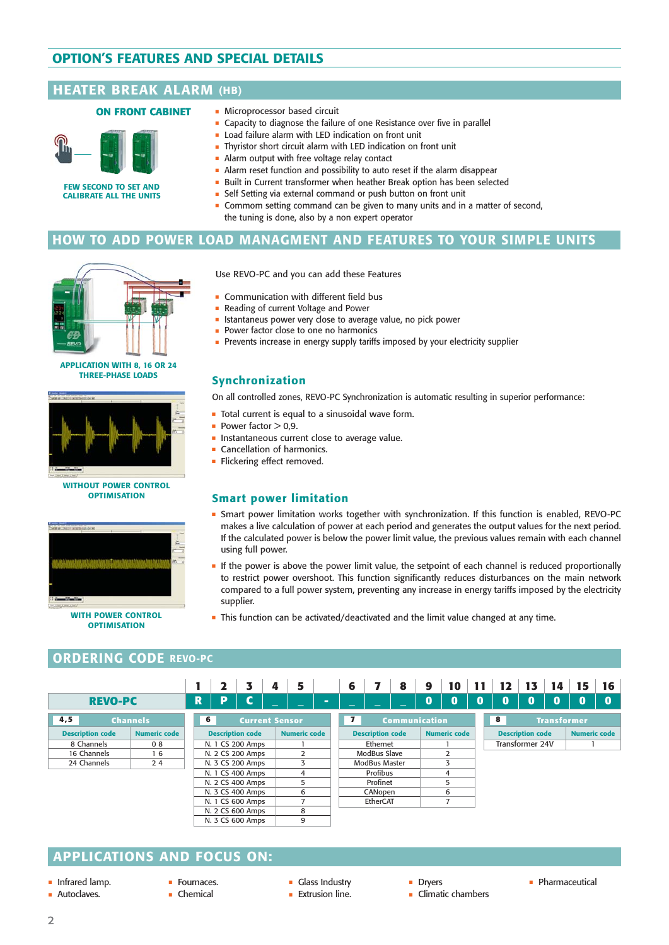# **OPTION'S FEATURES AND SPECIAL DETAILS OPTION'S FEATURES AND SPECIAL DETAILS**

### **HEATER BREAK ALARM (HB) (HB)**

#### **ON FRONT CABINET**



**FEW SECOND TO SET AND CALIBRATE ALL THE UNITS**

- Microprocessor based circuit

**Synchronization**

 $\blacksquare$  Power factor  $> 0.9$ .

using full power.

supplier.

**Smart power limitation**

**Cancellation of harmonics.** - Flickering effect removed.

- $\blacksquare$  Capacity to diagnose the failure of one Resistance over five in parallel
- Load failure alarm with LED indication on front unit
- Thyristor short circuit alarm with LED indication on front unit
- Alarm output with free voltage relay contact
- $\blacksquare$  Alarm reset function and possibility to auto reset if the alarm disappear
- Built in Current transformer when heather Break option has been selected
- Self Setting via external command or push button on front unit

- Istantaneus power very close to average value, no pick power

- Prevents increase in energy supply tariffs imposed by your electricity supplier

On all controlled zones, REVO-PC Synchronization is automatic resulting in superior performance:

 $\;\;\bar{}\;$  Smart power limitation works together with synchronization. If this function is enabled, REVO-PC makes a live calculation of power at each period and generates the output values for the next period. If the calculated power is below the power limit value, the previous values remain with each channel

- If the power is above the power limit value, the setpoint of each channel is reduced proportionally to restrict power overshoot. This function significantly reduces disturbances on the main network compared to a full power system, preventing any increase in energy tariffs imposed by the electricity

**This function can be activated/deactivated and the limit value changed at any time.** 

 Commom setting command can be given to many units and in a matter of second, the tuning is done, also by a non expert operator

#### **HOW TO ADD POWER LOAD MANAGMENT AND FEATURES TO YOUR SIMPLE UNITS**

Use REVO-PC and you can add these Features

- Total current is equal to a sinusoidal wave form.

**• Instantaneous current close to average value.** 

**• Communication with different field bus** Reading of current Voltage and Power

- Power factor close to one no harmonics



**APPLICATION WITH 8, 16 OR 24 THREE-PHASE LOADS**



#### **WITHOUT POWER CONTROL OPTIMISATION**



**OPTIMISATION**

#### **ORDERING CODE REVO-PC**

|                         |                     |   |                         | 3                | 4                     | 5                   |   | 6                        |               | 8                        | 9        | 10                  | 11              | 12                      | 13 | 14                 | 15                  | 16       |
|-------------------------|---------------------|---|-------------------------|------------------|-----------------------|---------------------|---|--------------------------|---------------|--------------------------|----------|---------------------|-----------------|-------------------------|----|--------------------|---------------------|----------|
| <b>REVO-PC</b>          |                     | R | D                       | C                |                       |                     | - | $\overline{\phantom{0}}$ | –             | $\overline{\phantom{0}}$ | $\bf{0}$ | 0                   | $\bf{0}$        | 0                       | 0  | 0                  | 0                   | $\bf{0}$ |
| 4,5                     | <b>Channels</b>     | 6 |                         |                  | <b>Current Sensor</b> |                     |   | $\mathbf{z}$             |               | <b>Communication</b>     |          |                     |                 | 8                       |    | <b>Transformer</b> |                     |          |
| <b>Description code</b> | <b>Numeric code</b> |   | <b>Description code</b> |                  |                       | <b>Numeric code</b> |   | <b>Description code</b>  |               |                          |          | <b>Numeric code</b> |                 | <b>Description code</b> |    |                    | <b>Numeric code</b> |          |
| 8 Channels              | 08                  |   | N. 1 CS 200 Amps        |                  |                       |                     |   | Ethernet                 |               |                          |          |                     | Transformer 24V |                         |    |                    |                     |          |
| 16 Channels             | 16                  |   | N. 2 CS 200 Amps        |                  |                       | $\mathcal{P}$       |   |                          | ModBus Slave  |                          |          | 2                   |                 |                         |    |                    |                     |          |
| 24 Channels             | 24                  |   |                         | N. 3 CS 200 Amps |                       | 3                   |   |                          | ModBus Master |                          |          | 3                   |                 |                         |    |                    |                     |          |
|                         |                     |   |                         | N. 1 CS 400 Amps |                       | 4                   |   |                          | Profibus      |                          |          | 4                   |                 |                         |    |                    |                     |          |
|                         |                     |   |                         | N. 2 CS 400 Amps |                       | 5                   |   |                          | Profinet      |                          |          | 5                   |                 |                         |    |                    |                     |          |
|                         |                     |   |                         | N. 3 CS 400 Amps |                       | 6                   |   |                          | CANopen       |                          |          | 6                   |                 |                         |    |                    |                     |          |
|                         |                     |   |                         | N. 1 CS 600 Amps |                       |                     |   |                          | EtherCAT      |                          |          | 7                   |                 |                         |    |                    |                     |          |
|                         |                     |   |                         | N. 2 CS 600 Amps |                       | 8                   |   |                          |               |                          |          |                     |                 |                         |    |                    |                     |          |
|                         |                     |   |                         | N. 3 CS 600 Amps |                       | 9                   |   |                          |               |                          |          |                     |                 |                         |    |                    |                     |          |

# **APPLICATIONS AND FOCUS ON:**

- Infrared lamp.
- **Autoclaves.**
- **E** Fournaces.
- Chemical
- 
- Glass Industry **Extrusion line.**
- **Dryers**
- Pharmaceutical
- Climatic chambers
- 
- 

- 
- 2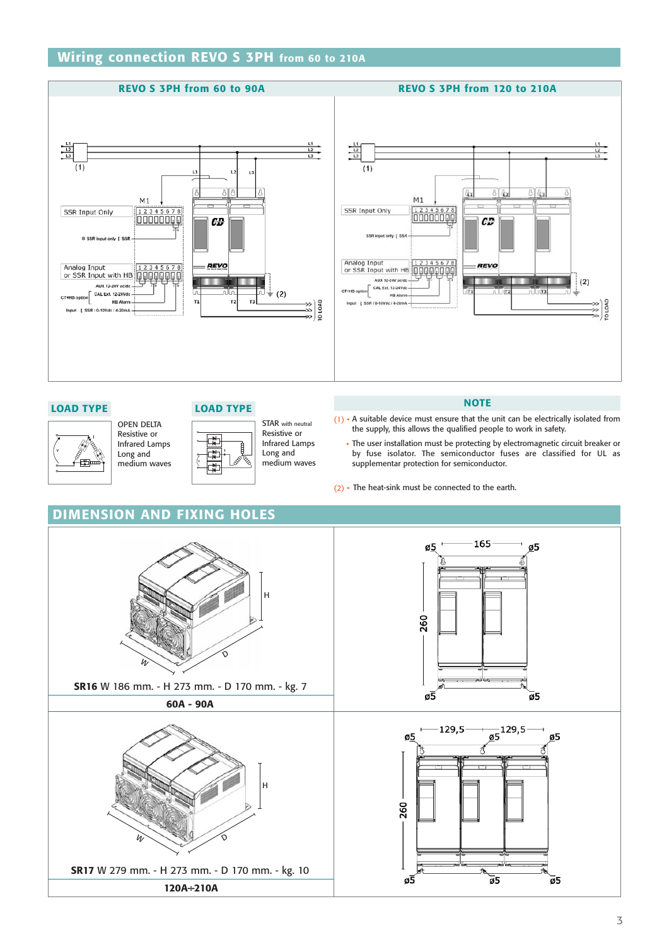# **Wiring connection REVO S 3PH from 60 to 210A**





#### **LOAD TYPE LOAD TYPE**

OPEN DELTA Resistive or Infrared Lamps Long and medium waves

STAR with neutral Resistive or Infrared Lamps Long and medium waves

#### **NOTE**

- (1) A suitable device must ensure that the unit can be electrically isolated from the supply, this allows the qualified people to work in safety.
	- The user installation must be protecting by electromagnetic circuit breaker or by fuse isolator. The semiconductor fuses are classified for UL as supplementar protection for semiconductor.
- (2) The heat-sink must be connected to the earth.